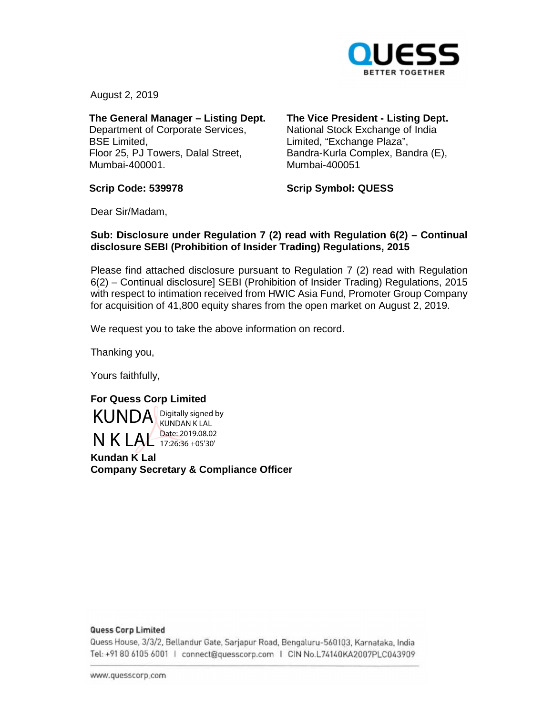

August 2, 2019

**The General Manager – Listing Dept.**  Department of Corporate Services, BSE Limited, Floor 25, PJ Towers, Dalal Street, Mumbai-400001.

## **The Vice President - Listing Dept.**

National Stock Exchange of India Limited, "Exchange Plaza", Bandra-Kurla Complex, Bandra (E), Mumbai-400051

**Scrip Code: 539978** 

**Scrip Symbol: QUESS** 

Dear Sir/Madam,

### **Sub: Disclosure under Regulation 7 (2) read with Regulation 6(2) – Continual disclosure SEBI (Prohibition of Insider Trading) Regulations, 2015**

Please find attached disclosure pursuant to Regulation 7 (2) read with Regulation 6(2) – Continual disclosure] SEBI (Prohibition of Insider Trading) Regulations, 2015 with respect to intimation received from HWIC Asia Fund, Promoter Group Company for acquisition of 41,800 equity shares from the open market on August 2, 2019.

We request you to take the above information on record.

Thanking you,

Yours faithfully,

## **For Quess Corp Limited**

KUNDA Digitally signed by N K LAL Date: 2019.08.02 KUNDAN K LAL 17:26:36 +05'30'

**Kundan K Lal Company Secretary & Compliance Officer** 

### **Quess Corp Limited**

Quess House, 3/3/2, Bellandur Gate, Sarjapur Road, Bengaluru-560103, Karnataka, India om <sup>0</sup>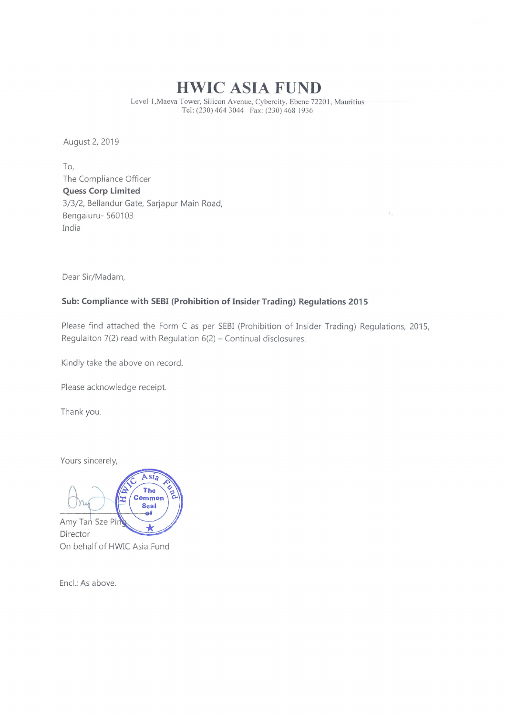# HWIC ASIA FUND

Level l,Maeva Tower, Silicon Avenue, Cybercity, Ebene 7220 I, Mauritius Tel: (230) 464 3044 Fax: (230) 468 1936

August 2, 2019

To, The Compliance Officer Quess Corp Limited 3/3/2, Bellandur Gate, Sarjapur Main Road, Bengaluru- 560103 India

Dear Sir/Madam,

## Sub: Compliance with SEBI (Prohibition of Insider Trading) Regulations <sup>2015</sup>

Please find attached the Form <sup>C</sup> as per SEBI (Prohibition of Insider Trading) Regulations, 2015, Regulaiton  $7(2)$  read with Regulation  $6(2)$  - Continual disclosures.

Kindly take the above on record.

Please acknowledge receipt.

Thank you.

Yours sincerely,



Encl.: As above.